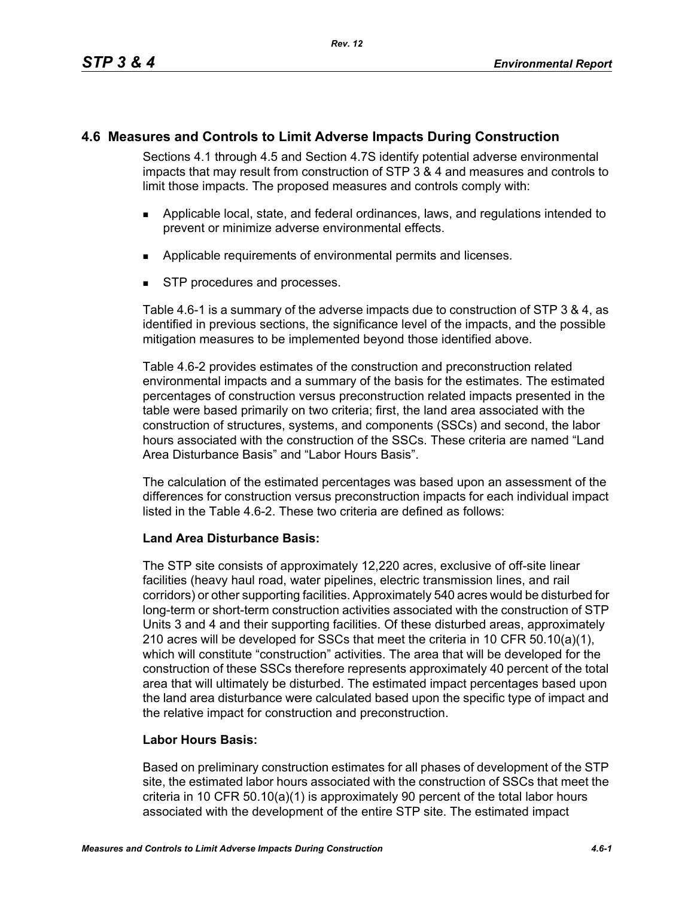# **4.6 Measures and Controls to Limit Adverse Impacts During Construction**

Sections 4.1 through 4.5 and Section 4.7S identify potential adverse environmental impacts that may result from construction of STP 3 & 4 and measures and controls to limit those impacts. The proposed measures and controls comply with:

- Applicable local, state, and federal ordinances, laws, and regulations intended to prevent or minimize adverse environmental effects.
- **Applicable requirements of environmental permits and licenses.**
- STP procedures and processes.

Table 4.6-1 is a summary of the adverse impacts due to construction of STP 3 & 4, as identified in previous sections, the significance level of the impacts, and the possible mitigation measures to be implemented beyond those identified above.

Table 4.6-2 provides estimates of the construction and preconstruction related environmental impacts and a summary of the basis for the estimates. The estimated percentages of construction versus preconstruction related impacts presented in the table were based primarily on two criteria; first, the land area associated with the construction of structures, systems, and components (SSCs) and second, the labor hours associated with the construction of the SSCs. These criteria are named "Land Area Disturbance Basis" and "Labor Hours Basis".

The calculation of the estimated percentages was based upon an assessment of the differences for construction versus preconstruction impacts for each individual impact listed in the Table 4.6-2. These two criteria are defined as follows:

## **Land Area Disturbance Basis:**

The STP site consists of approximately 12,220 acres, exclusive of off-site linear facilities (heavy haul road, water pipelines, electric transmission lines, and rail corridors) or other supporting facilities. Approximately 540 acres would be disturbed for long-term or short-term construction activities associated with the construction of STP Units 3 and 4 and their supporting facilities. Of these disturbed areas, approximately 210 acres will be developed for SSCs that meet the criteria in 10 CFR 50.10(a)(1), which will constitute "construction" activities. The area that will be developed for the construction of these SSCs therefore represents approximately 40 percent of the total area that will ultimately be disturbed. The estimated impact percentages based upon the land area disturbance were calculated based upon the specific type of impact and the relative impact for construction and preconstruction.

## **Labor Hours Basis:**

Based on preliminary construction estimates for all phases of development of the STP site, the estimated labor hours associated with the construction of SSCs that meet the criteria in 10 CFR 50.10(a)(1) is approximately 90 percent of the total labor hours associated with the development of the entire STP site. The estimated impact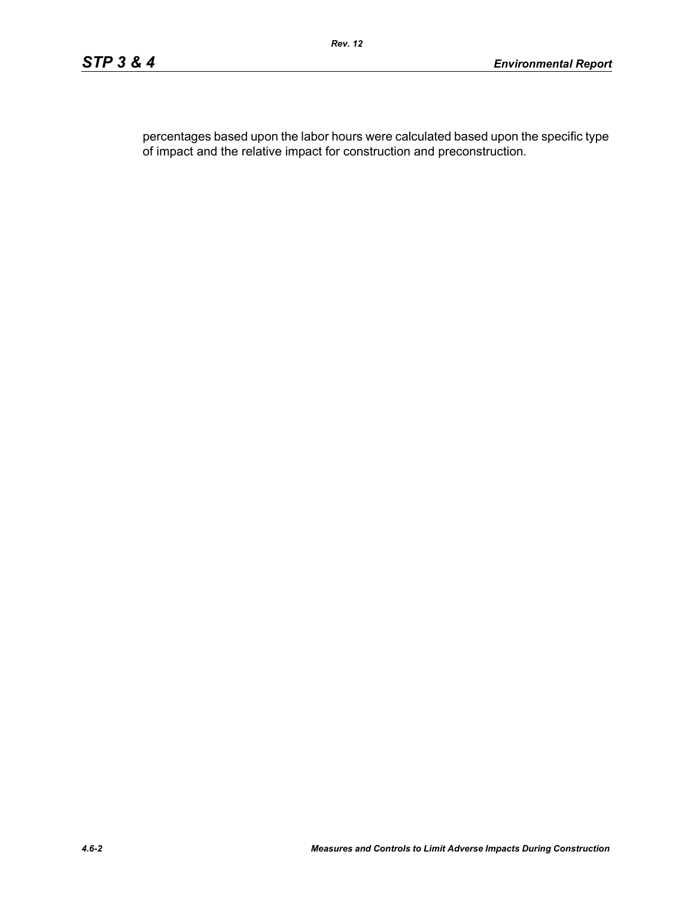percentages based upon the labor hours were calculated based upon the specific type of impact and the relative impact for construction and preconstruction.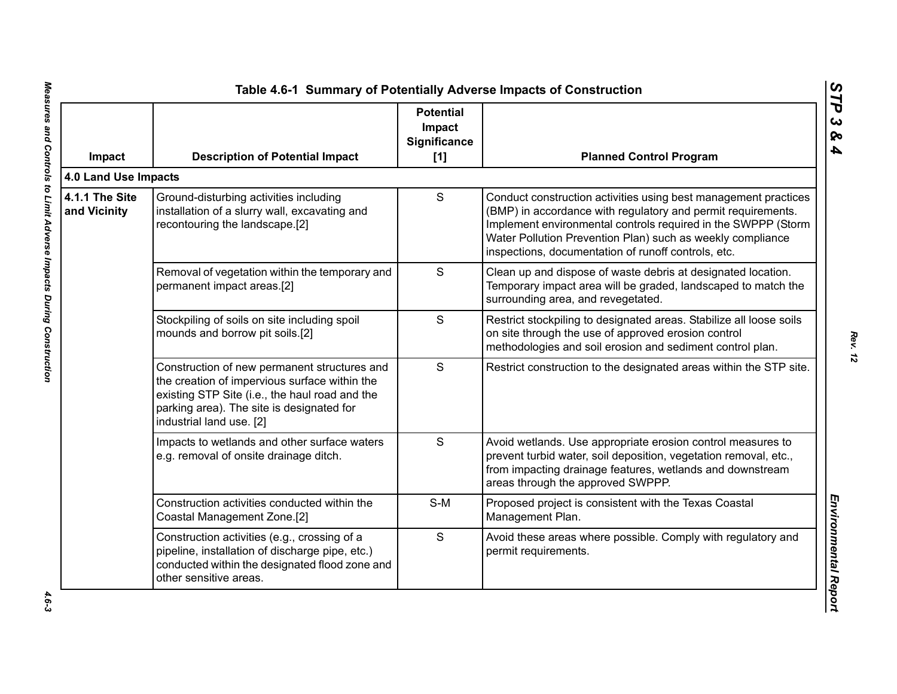| Impact                         | <b>Description of Potential Impact</b>                                                                                                                                                                                   | <b>Potential</b><br>Impact<br>Significance<br>$[1]$ | <b>Planned Control Program</b>                                                                                                                                                                                                                                                                                        |
|--------------------------------|--------------------------------------------------------------------------------------------------------------------------------------------------------------------------------------------------------------------------|-----------------------------------------------------|-----------------------------------------------------------------------------------------------------------------------------------------------------------------------------------------------------------------------------------------------------------------------------------------------------------------------|
| 4.0 Land Use Impacts           |                                                                                                                                                                                                                          |                                                     |                                                                                                                                                                                                                                                                                                                       |
| 4.1.1 The Site<br>and Vicinity | Ground-disturbing activities including<br>installation of a slurry wall, excavating and<br>recontouring the landscape.[2]                                                                                                | S                                                   | Conduct construction activities using best management practices<br>(BMP) in accordance with regulatory and permit requirements.<br>Implement environmental controls required in the SWPPP (Storm<br>Water Pollution Prevention Plan) such as weekly compliance<br>inspections, documentation of runoff controls, etc. |
|                                | Removal of vegetation within the temporary and<br>permanent impact areas.[2]                                                                                                                                             | S                                                   | Clean up and dispose of waste debris at designated location.<br>Temporary impact area will be graded, landscaped to match the<br>surrounding area, and revegetated.                                                                                                                                                   |
|                                | Stockpiling of soils on site including spoil<br>mounds and borrow pit soils.[2]                                                                                                                                          | S                                                   | Restrict stockpiling to designated areas. Stabilize all loose soils<br>on site through the use of approved erosion control<br>methodologies and soil erosion and sediment control plan.                                                                                                                               |
|                                | Construction of new permanent structures and<br>the creation of impervious surface within the<br>existing STP Site (i.e., the haul road and the<br>parking area). The site is designated for<br>industrial land use. [2] | S                                                   | Restrict construction to the designated areas within the STP site.                                                                                                                                                                                                                                                    |
|                                | Impacts to wetlands and other surface waters<br>e.g. removal of onsite drainage ditch.                                                                                                                                   | S                                                   | Avoid wetlands. Use appropriate erosion control measures to<br>prevent turbid water, soil deposition, vegetation removal, etc.,<br>from impacting drainage features, wetlands and downstream<br>areas through the approved SWPPP.                                                                                     |
|                                | Construction activities conducted within the<br>Coastal Management Zone.[2]                                                                                                                                              | $S-M$                                               | Proposed project is consistent with the Texas Coastal<br>Management Plan.                                                                                                                                                                                                                                             |
|                                | Construction activities (e.g., crossing of a<br>pipeline, installation of discharge pipe, etc.)<br>conducted within the designated flood zone and<br>other sensitive areas.                                              | S                                                   | Avoid these areas where possible. Comply with regulatory and<br>permit requirements.                                                                                                                                                                                                                                  |

 $4.6 - 3$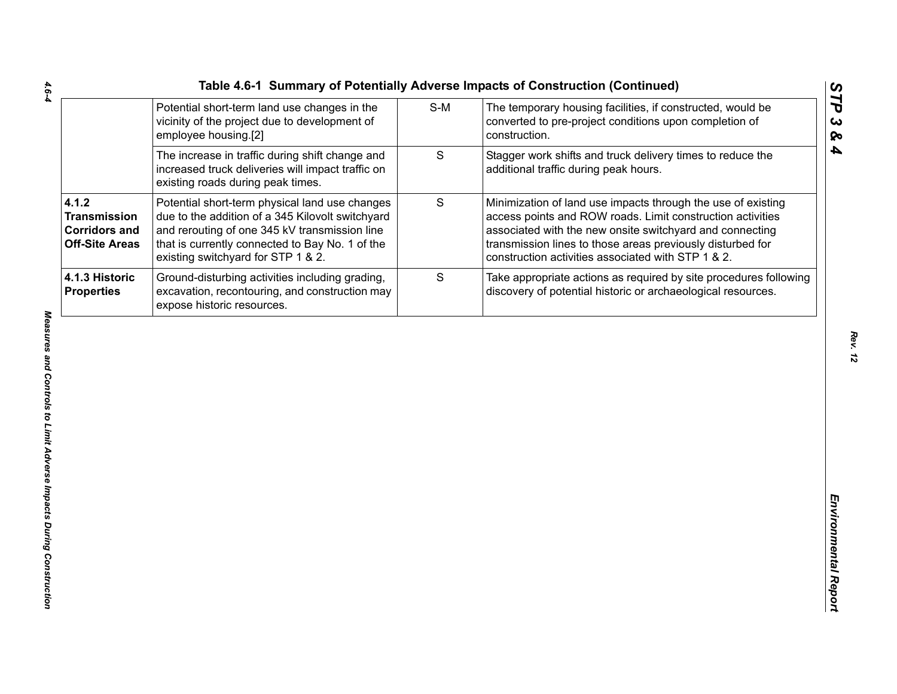| Table 4.6-1 Summary of Potentially Adverse Impacts of Construction (Continued)                                        |     |                                                                                                                               |
|-----------------------------------------------------------------------------------------------------------------------|-----|-------------------------------------------------------------------------------------------------------------------------------|
| Potential short-term land use changes in the<br>vicinity of the project due to development of<br>employee housing.[2] | S-M | The temporary housing facilities, if constructed, w<br>converted to pre-project conditions upon completion<br>l construction. |

|                                                                               | Potential short-term land use changes in the<br>vicinity of the project due to development of<br>employee housing.[2]                                                                                                                        | $S-M$ | The temporary housing facilities, if constructed, would be<br>converted to pre-project conditions upon completion of<br>construction.                                                                                                                                                                      |
|-------------------------------------------------------------------------------|----------------------------------------------------------------------------------------------------------------------------------------------------------------------------------------------------------------------------------------------|-------|------------------------------------------------------------------------------------------------------------------------------------------------------------------------------------------------------------------------------------------------------------------------------------------------------------|
|                                                                               | The increase in traffic during shift change and<br>increased truck deliveries will impact traffic on<br>existing roads during peak times.                                                                                                    | S     | Stagger work shifts and truck delivery times to reduce the<br>additional traffic during peak hours.                                                                                                                                                                                                        |
| 4.1.2<br><b>Transmission</b><br><b>Corridors and</b><br><b>Off-Site Areas</b> | Potential short-term physical land use changes<br>due to the addition of a 345 Kilovolt switchyard<br>and rerouting of one 345 kV transmission line<br>that is currently connected to Bay No. 1 of the<br>existing switchyard for STP 1 & 2. | S     | Minimization of land use impacts through the use of existing<br>access points and ROW roads. Limit construction activities<br>associated with the new onsite switchyard and connecting<br>transmission lines to those areas previously disturbed for<br>construction activities associated with STP 1 & 2. |
| 4.1.3 Historic<br><b>Properties</b>                                           | Ground-disturbing activities including grading,<br>excavation, recontouring, and construction may<br>expose historic resources.                                                                                                              | S     | Take appropriate actions as required by site procedures following<br>discovery of potential historic or archaeological resources.                                                                                                                                                                          |
|                                                                               |                                                                                                                                                                                                                                              |       |                                                                                                                                                                                                                                                                                                            |
|                                                                               |                                                                                                                                                                                                                                              |       |                                                                                                                                                                                                                                                                                                            |

*STP 3 & 4*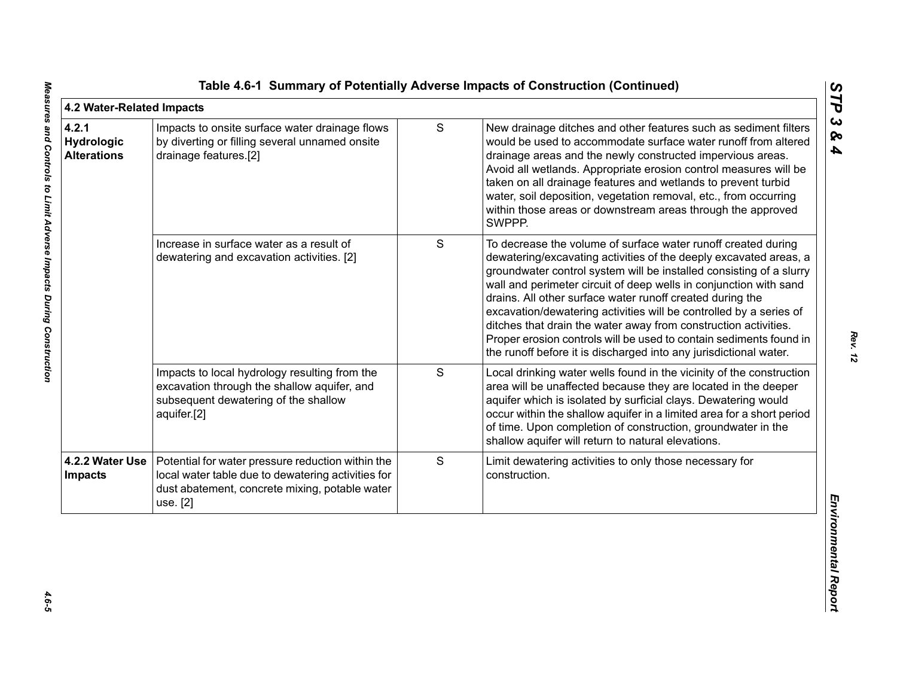| 4.2 Water-Related Impacts                        |                                                                                                                                                                       |   |                                                                                                                                                                                                                                                                                                                                                                                                                                                                                                                                                                                                                                 | ĽP                                |
|--------------------------------------------------|-----------------------------------------------------------------------------------------------------------------------------------------------------------------------|---|---------------------------------------------------------------------------------------------------------------------------------------------------------------------------------------------------------------------------------------------------------------------------------------------------------------------------------------------------------------------------------------------------------------------------------------------------------------------------------------------------------------------------------------------------------------------------------------------------------------------------------|-----------------------------------|
| 4.2.1<br><b>Hydrologic</b><br><b>Alterations</b> | Impacts to onsite surface water drainage flows<br>by diverting or filling several unnamed onsite<br>drainage features.[2]                                             | S | New drainage ditches and other features such as sediment filters<br>would be used to accommodate surface water runoff from altered<br>drainage areas and the newly constructed impervious areas.<br>Avoid all wetlands. Appropriate erosion control measures will be<br>taken on all drainage features and wetlands to prevent turbid<br>water, soil deposition, vegetation removal, etc., from occurring<br>within those areas or downstream areas through the approved<br>SWPPP.                                                                                                                                              | $\boldsymbol{\omega}$<br>ନ୍ତ<br>4 |
|                                                  | Increase in surface water as a result of<br>dewatering and excavation activities. [2]                                                                                 | S | To decrease the volume of surface water runoff created during<br>dewatering/excavating activities of the deeply excavated areas, a<br>groundwater control system will be installed consisting of a slurry<br>wall and perimeter circuit of deep wells in conjunction with sand<br>drains. All other surface water runoff created during the<br>excavation/dewatering activities will be controlled by a series of<br>ditches that drain the water away from construction activities.<br>Proper erosion controls will be used to contain sediments found in<br>the runoff before it is discharged into any jurisdictional water. |                                   |
|                                                  | Impacts to local hydrology resulting from the<br>excavation through the shallow aquifer, and<br>subsequent dewatering of the shallow<br>aquifer.[2]                   | S | Local drinking water wells found in the vicinity of the construction<br>area will be unaffected because they are located in the deeper<br>aquifer which is isolated by surficial clays. Dewatering would<br>occur within the shallow aquifer in a limited area for a short period<br>of time. Upon completion of construction, groundwater in the<br>shallow aquifer will return to natural elevations.                                                                                                                                                                                                                         |                                   |
| 4.2.2 Water Use<br><b>Impacts</b>                | Potential for water pressure reduction within the<br>local water table due to dewatering activities for<br>dust abatement, concrete mixing, potable water<br>use. [2] | S | Limit dewatering activities to only those necessary for<br>construction.                                                                                                                                                                                                                                                                                                                                                                                                                                                                                                                                                        |                                   |
|                                                  |                                                                                                                                                                       |   |                                                                                                                                                                                                                                                                                                                                                                                                                                                                                                                                                                                                                                 | Environmental Repor               |

 $4.6 - 5$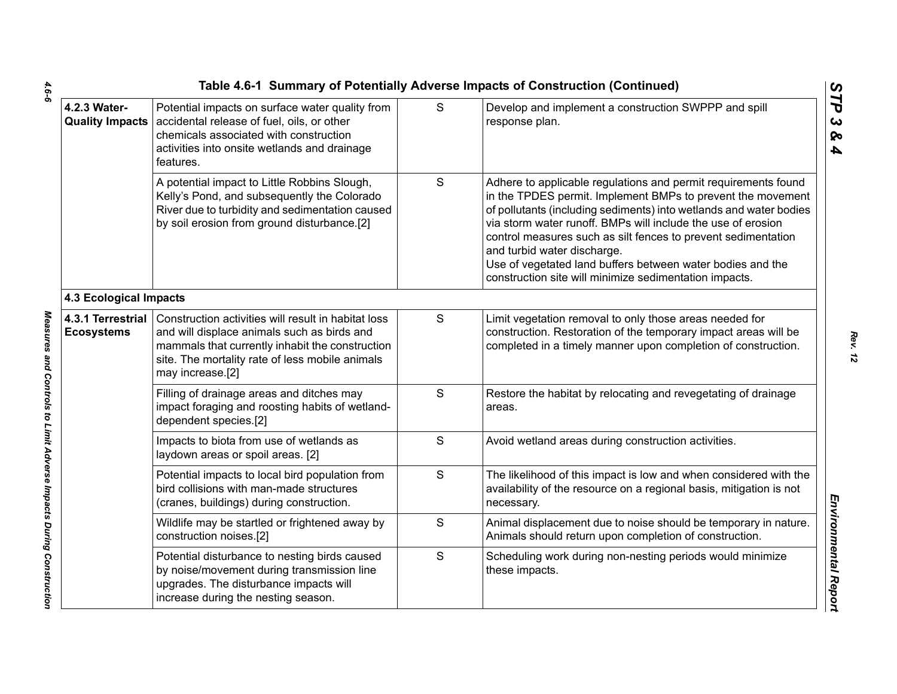|                                        |                                                                                                                                                                                                                              |   | Table 4.6-1 Summary of Potentially Adverse Impacts of Construction (Continued)                                                                                                                                                                                                                                                                                                                                                                                                              |
|----------------------------------------|------------------------------------------------------------------------------------------------------------------------------------------------------------------------------------------------------------------------------|---|---------------------------------------------------------------------------------------------------------------------------------------------------------------------------------------------------------------------------------------------------------------------------------------------------------------------------------------------------------------------------------------------------------------------------------------------------------------------------------------------|
| 4.2.3 Water-                           | Potential impacts on surface water quality from<br>Quality Impacts   accidental release of fuel, oils, or other<br>chemicals associated with construction<br>activities into onsite wetlands and drainage<br>features.       | S | Develop and implement a construction SWPPP and spill<br>response plan.                                                                                                                                                                                                                                                                                                                                                                                                                      |
|                                        | A potential impact to Little Robbins Slough,<br>Kelly's Pond, and subsequently the Colorado<br>River due to turbidity and sedimentation caused<br>by soil erosion from ground disturbance.[2]                                | S | Adhere to applicable regulations and permit requirements found<br>in the TPDES permit. Implement BMPs to prevent the movement<br>of pollutants (including sediments) into wetlands and water bodies<br>via storm water runoff. BMPs will include the use of erosion<br>control measures such as silt fences to prevent sedimentation<br>and turbid water discharge.<br>Use of vegetated land buffers between water bodies and the<br>construction site will minimize sedimentation impacts. |
| <b>4.3 Ecological Impacts</b>          |                                                                                                                                                                                                                              |   |                                                                                                                                                                                                                                                                                                                                                                                                                                                                                             |
| 4.3.1 Terrestrial<br><b>Ecosystems</b> | Construction activities will result in habitat loss<br>and will displace animals such as birds and<br>mammals that currently inhabit the construction<br>site. The mortality rate of less mobile animals<br>may increase.[2] | S | Limit vegetation removal to only those areas needed for<br>construction. Restoration of the temporary impact areas will be<br>completed in a timely manner upon completion of construction.                                                                                                                                                                                                                                                                                                 |
|                                        | Filling of drainage areas and ditches may<br>impact foraging and roosting habits of wetland-<br>dependent species.[2]                                                                                                        | S | Restore the habitat by relocating and revegetating of drainage<br>areas.                                                                                                                                                                                                                                                                                                                                                                                                                    |
|                                        | Impacts to biota from use of wetlands as<br>laydown areas or spoil areas. [2]                                                                                                                                                | S | Avoid wetland areas during construction activities.                                                                                                                                                                                                                                                                                                                                                                                                                                         |
|                                        | Potential impacts to local bird population from<br>bird collisions with man-made structures<br>(cranes, buildings) during construction.                                                                                      | S | The likelihood of this impact is low and when considered with the<br>availability of the resource on a regional basis, mitigation is not<br>necessary.                                                                                                                                                                                                                                                                                                                                      |
|                                        | Wildlife may be startled or frightened away by<br>construction noises.[2]                                                                                                                                                    | S | Animal displacement due to noise should be temporary in nature.<br>Animals should return upon completion of construction.                                                                                                                                                                                                                                                                                                                                                                   |
|                                        | Potential disturbance to nesting birds caused<br>by noise/movement during transmission line<br>upgrades. The disturbance impacts will<br>increase during the nesting season.                                                 | S | Scheduling work during non-nesting periods would minimize<br>these impacts.                                                                                                                                                                                                                                                                                                                                                                                                                 |
|                                        |                                                                                                                                                                                                                              |   |                                                                                                                                                                                                                                                                                                                                                                                                                                                                                             |

 $4.6 - 6$ *4.6-6 Measures and Controls to Limit Adverse Impacts During Construction* 

Measures and Controls to Limit Adverse Impacts During Construction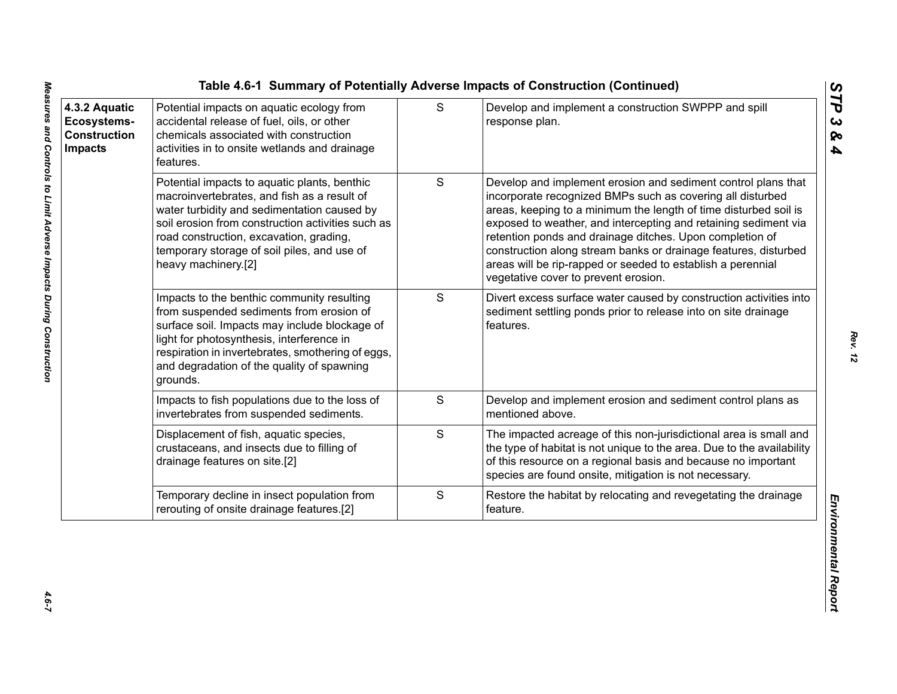| 4.3.2 Aquatic<br>Ecosystems-<br><b>Construction</b><br><b>Impacts</b> | Potential impacts on aquatic ecology from<br>accidental release of fuel, oils, or other<br>chemicals associated with construction<br>activities in to onsite wetlands and drainage<br>features.                                                                                                                  | S             | Develop and implement a construction SWPPP and spill<br>response plan.                                                                                                                                                                                                                                                                                                                                                                                                                                   |
|-----------------------------------------------------------------------|------------------------------------------------------------------------------------------------------------------------------------------------------------------------------------------------------------------------------------------------------------------------------------------------------------------|---------------|----------------------------------------------------------------------------------------------------------------------------------------------------------------------------------------------------------------------------------------------------------------------------------------------------------------------------------------------------------------------------------------------------------------------------------------------------------------------------------------------------------|
|                                                                       | Potential impacts to aquatic plants, benthic<br>macroinvertebrates, and fish as a result of<br>water turbidity and sedimentation caused by<br>soil erosion from construction activities such as<br>road construction, excavation, grading,<br>temporary storage of soil piles, and use of<br>heavy machinery.[2] | ${\mathsf S}$ | Develop and implement erosion and sediment control plans that<br>incorporate recognized BMPs such as covering all disturbed<br>areas, keeping to a minimum the length of time disturbed soil is<br>exposed to weather, and intercepting and retaining sediment via<br>retention ponds and drainage ditches. Upon completion of<br>construction along stream banks or drainage features, disturbed<br>areas will be rip-rapped or seeded to establish a perennial<br>vegetative cover to prevent erosion. |
|                                                                       | Impacts to the benthic community resulting<br>from suspended sediments from erosion of<br>surface soil. Impacts may include blockage of<br>light for photosynthesis, interference in<br>respiration in invertebrates, smothering of eggs,<br>and degradation of the quality of spawning<br>grounds.              | S             | Divert excess surface water caused by construction activities into<br>sediment settling ponds prior to release into on site drainage<br>features.                                                                                                                                                                                                                                                                                                                                                        |
|                                                                       | Impacts to fish populations due to the loss of<br>invertebrates from suspended sediments.                                                                                                                                                                                                                        | S             | Develop and implement erosion and sediment control plans as<br>mentioned above.                                                                                                                                                                                                                                                                                                                                                                                                                          |
|                                                                       | Displacement of fish, aquatic species,<br>crustaceans, and insects due to filling of<br>drainage features on site.[2]                                                                                                                                                                                            | S             | The impacted acreage of this non-jurisdictional area is small and<br>the type of habitat is not unique to the area. Due to the availability<br>of this resource on a regional basis and because no important<br>species are found onsite, mitigation is not necessary.                                                                                                                                                                                                                                   |
|                                                                       | Temporary decline in insect population from<br>rerouting of onsite drainage features.[2]                                                                                                                                                                                                                         | ${\mathsf S}$ | Restore the habitat by relocating and revegetating the drainage<br>feature.                                                                                                                                                                                                                                                                                                                                                                                                                              |

*STP 3 & 4*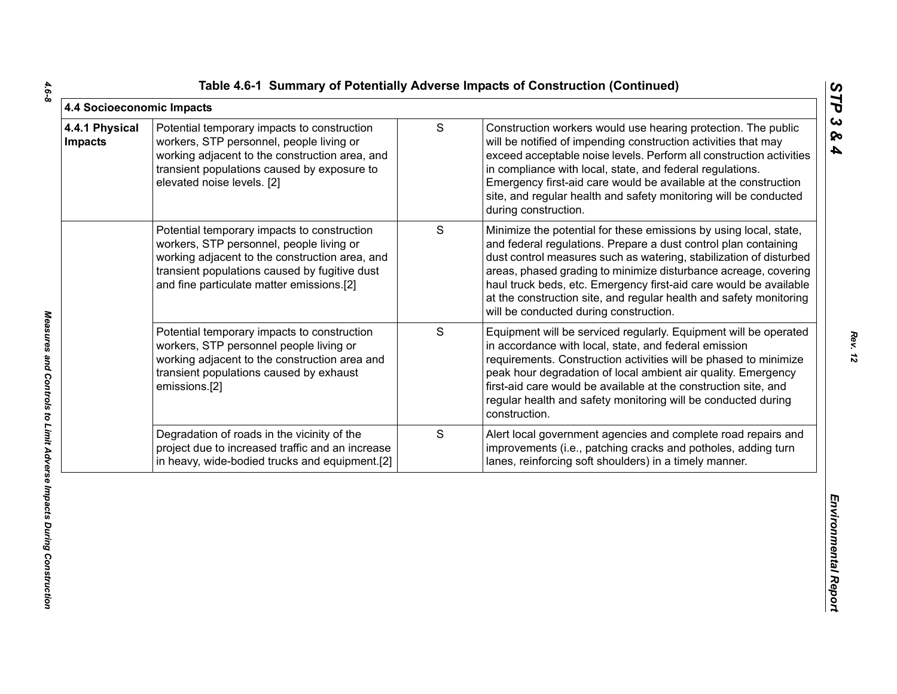|  |  | Table 4.6-1 Summary of Potentially Adverse Impacts of Construction (Continued) |  |  |  |  |
|--|--|--------------------------------------------------------------------------------|--|--|--|--|
|--|--|--------------------------------------------------------------------------------|--|--|--|--|

| 4.4 Socioeconomic Impacts        |                                                                                                                                                                                                                                         |               |                                                                                                                                                                                                                                                                                                                                                                                                                                                                    | STP                                            |
|----------------------------------|-----------------------------------------------------------------------------------------------------------------------------------------------------------------------------------------------------------------------------------------|---------------|--------------------------------------------------------------------------------------------------------------------------------------------------------------------------------------------------------------------------------------------------------------------------------------------------------------------------------------------------------------------------------------------------------------------------------------------------------------------|------------------------------------------------|
| 4.4.1 Physical<br><b>Impacts</b> | Potential temporary impacts to construction<br>workers, STP personnel, people living or<br>working adjacent to the construction area, and<br>transient populations caused by exposure to<br>elevated noise levels. [2]                  | ${\mathsf S}$ | Construction workers would use hearing protection. The public<br>will be notified of impending construction activities that may<br>exceed acceptable noise levels. Perform all construction activities<br>in compliance with local, state, and federal regulations.<br>Emergency first-aid care would be available at the construction<br>site, and regular health and safety monitoring will be conducted<br>during construction.                                 | $\boldsymbol{\omega}$<br>ବ<br>$\blacktriangle$ |
|                                  | Potential temporary impacts to construction<br>workers, STP personnel, people living or<br>working adjacent to the construction area, and<br>transient populations caused by fugitive dust<br>and fine particulate matter emissions.[2] | S             | Minimize the potential for these emissions by using local, state,<br>and federal regulations. Prepare a dust control plan containing<br>dust control measures such as watering, stabilization of disturbed<br>areas, phased grading to minimize disturbance acreage, covering<br>haul truck beds, etc. Emergency first-aid care would be available<br>at the construction site, and regular health and safety monitoring<br>will be conducted during construction. |                                                |
|                                  | Potential temporary impacts to construction<br>workers, STP personnel people living or<br>working adjacent to the construction area and<br>transient populations caused by exhaust<br>emissions.[2]                                     | S             | Equipment will be serviced regularly. Equipment will be operated<br>in accordance with local, state, and federal emission<br>requirements. Construction activities will be phased to minimize<br>peak hour degradation of local ambient air quality. Emergency<br>first-aid care would be available at the construction site, and<br>regular health and safety monitoring will be conducted during<br>construction.                                                |                                                |
|                                  | Degradation of roads in the vicinity of the<br>project due to increased traffic and an increase<br>in heavy, wide-bodied trucks and equipment.[2]                                                                                       | S             | Alert local government agencies and complete road repairs and<br>improvements (i.e., patching cracks and potholes, adding turn<br>lanes, reinforcing soft shoulders) in a timely manner.                                                                                                                                                                                                                                                                           |                                                |
|                                  |                                                                                                                                                                                                                                         |               |                                                                                                                                                                                                                                                                                                                                                                                                                                                                    | Environmental Report                           |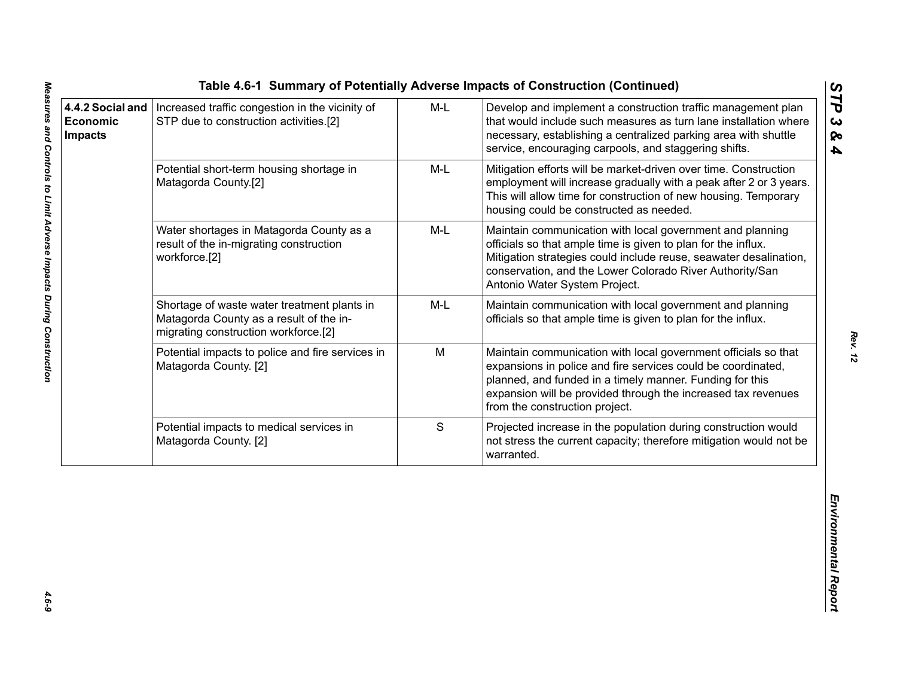|                                                       |                                                                                                                                |       | Table 4.6-1 Summary of Potentially Adverse Impacts of Construction (Continued)                                                                                                                                                                                                                |                                          |
|-------------------------------------------------------|--------------------------------------------------------------------------------------------------------------------------------|-------|-----------------------------------------------------------------------------------------------------------------------------------------------------------------------------------------------------------------------------------------------------------------------------------------------|------------------------------------------|
| 4.4.2 Social and<br><b>Economic</b><br><b>Impacts</b> | Increased traffic congestion in the vicinity of<br>STP due to construction activities.[2]                                      | $M-L$ | Develop and implement a construction traffic management plan<br>that would include such measures as turn lane installation where<br>necessary, establishing a centralized parking area with shuttle<br>service, encouraging carpools, and staggering shifts.                                  | STP<br>$\boldsymbol{\omega}$<br>ନ୍ତ<br>4 |
|                                                       | Potential short-term housing shortage in<br>Matagorda County.[2]                                                               | $M-L$ | Mitigation efforts will be market-driven over time. Construction<br>employment will increase gradually with a peak after 2 or 3 years.<br>This will allow time for construction of new housing. Temporary<br>housing could be constructed as needed.                                          |                                          |
|                                                       | Water shortages in Matagorda County as a<br>result of the in-migrating construction<br>workforce.[2]                           | $M-L$ | Maintain communication with local government and planning<br>officials so that ample time is given to plan for the influx.<br>Mitigation strategies could include reuse, seawater desalination,<br>conservation, and the Lower Colorado River Authority/San<br>Antonio Water System Project.  |                                          |
|                                                       | Shortage of waste water treatment plants in<br>Matagorda County as a result of the in-<br>migrating construction workforce.[2] | M-L   | Maintain communication with local government and planning<br>officials so that ample time is given to plan for the influx.                                                                                                                                                                    |                                          |
|                                                       | Potential impacts to police and fire services in<br>Matagorda County. [2]                                                      | M     | Maintain communication with local government officials so that<br>expansions in police and fire services could be coordinated,<br>planned, and funded in a timely manner. Funding for this<br>expansion will be provided through the increased tax revenues<br>from the construction project. |                                          |
|                                                       | Potential impacts to medical services in<br>Matagorda County. [2]                                                              | S     | Projected increase in the population during construction would<br>not stress the current capacity; therefore mitigation would not be<br>warranted.                                                                                                                                            |                                          |
|                                                       |                                                                                                                                |       |                                                                                                                                                                                                                                                                                               | Environmental Report                     |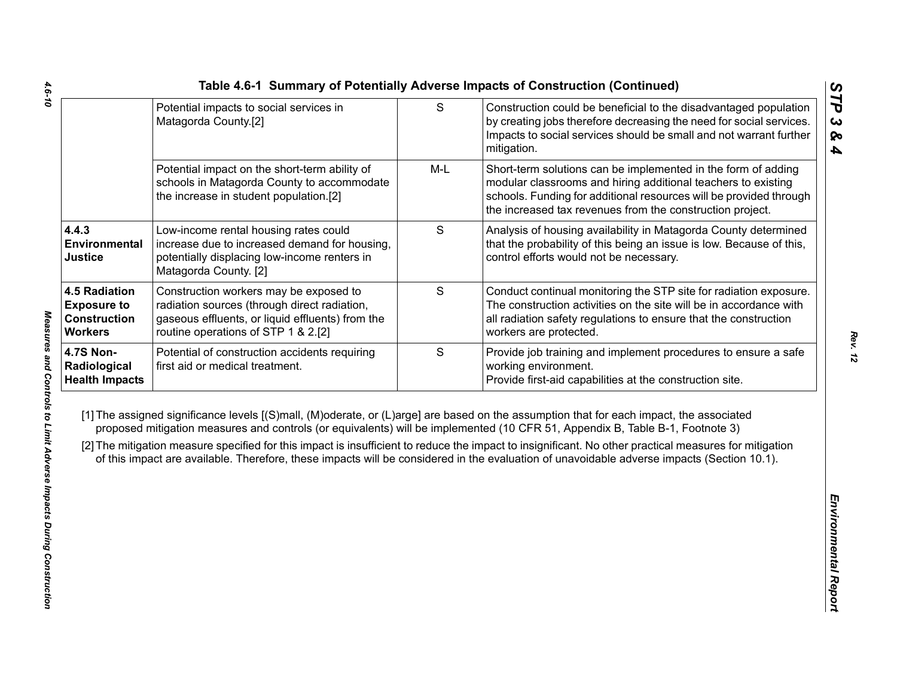|                                                                                     | Potential impacts to social services in<br>Matagorda County.[2]                                                                                                                   | ${\mathsf S}$ | Construction could be beneficial to the disadvantaged population<br>by creating jobs therefore decreasing the need for social services.<br>Impacts to social services should be small and not warrant further<br>mitigation.                                                                                                                                                                                                                                                                                                                                                     |
|-------------------------------------------------------------------------------------|-----------------------------------------------------------------------------------------------------------------------------------------------------------------------------------|---------------|----------------------------------------------------------------------------------------------------------------------------------------------------------------------------------------------------------------------------------------------------------------------------------------------------------------------------------------------------------------------------------------------------------------------------------------------------------------------------------------------------------------------------------------------------------------------------------|
|                                                                                     | Potential impact on the short-term ability of<br>schools in Matagorda County to accommodate<br>the increase in student population.[2]                                             | $M-L$         | Short-term solutions can be implemented in the form of adding<br>modular classrooms and hiring additional teachers to existing<br>schools. Funding for additional resources will be provided through<br>the increased tax revenues from the construction project.                                                                                                                                                                                                                                                                                                                |
| 4.4.3<br>Environmental<br><b>Justice</b>                                            | Low-income rental housing rates could<br>increase due to increased demand for housing,<br>potentially displacing low-income renters in<br>Matagorda County. [2]                   | S             | Analysis of housing availability in Matagorda County determined<br>that the probability of this being an issue is low. Because of this,<br>control efforts would not be necessary.                                                                                                                                                                                                                                                                                                                                                                                               |
| <b>4.5 Radiation</b><br><b>Exposure to</b><br><b>Construction</b><br><b>Workers</b> | Construction workers may be exposed to<br>radiation sources (through direct radiation,<br>gaseous effluents, or liquid effluents) from the<br>routine operations of STP 1 & 2.[2] | $\mathsf S$   | Conduct continual monitoring the STP site for radiation exposure.<br>The construction activities on the site will be in accordance with<br>all radiation safety regulations to ensure that the construction<br>workers are protected.                                                                                                                                                                                                                                                                                                                                            |
| <b>4.7S Non-</b><br>Radiological<br><b>Health Impacts</b>                           | Potential of construction accidents requiring<br>first aid or medical treatment.                                                                                                  | $\mathsf S$   | Provide job training and implement procedures to ensure a safe<br>working environment.<br>Provide first-aid capabilities at the construction site.                                                                                                                                                                                                                                                                                                                                                                                                                               |
|                                                                                     |                                                                                                                                                                                   |               | [1] The assigned significance levels [(S)mall, (M)oderate, or (L)arge] are based on the assumption that for each impact, the associated<br>proposed mitigation measures and controls (or equivalents) will be implemented (10 CFR 51, Appendix B, Table B-1, Footnote 3)<br>[2] The mitigation measure specified for this impact is insufficient to reduce the impact to insignificant. No other practical measures for mitigation<br>of this impact are available. Therefore, these impacts will be considered in the evaluation of unavoidable adverse impacts (Section 10.1). |
|                                                                                     |                                                                                                                                                                                   |               |                                                                                                                                                                                                                                                                                                                                                                                                                                                                                                                                                                                  |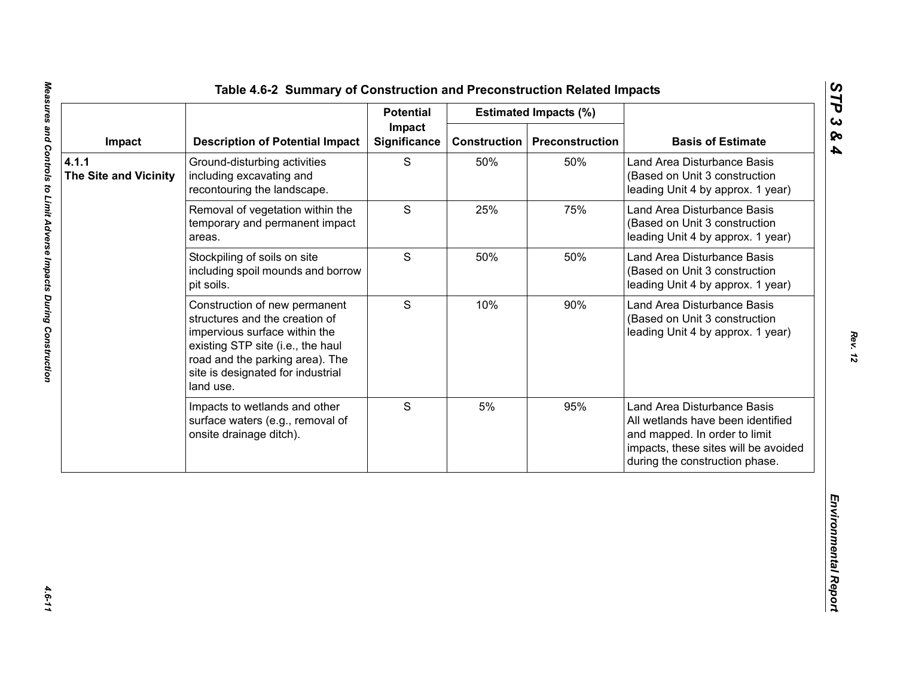|                                       |                                                                                                                                                                                                                            | <b>Potential</b>              |                     | <b>Estimated Impacts (%)</b> |                                                                                                                                                                             |
|---------------------------------------|----------------------------------------------------------------------------------------------------------------------------------------------------------------------------------------------------------------------------|-------------------------------|---------------------|------------------------------|-----------------------------------------------------------------------------------------------------------------------------------------------------------------------------|
| Impact                                | <b>Description of Potential Impact</b>                                                                                                                                                                                     | Impact<br><b>Significance</b> | <b>Construction</b> | <b>Preconstruction</b>       | <b>Basis of Estimate</b>                                                                                                                                                    |
| 4.1.1<br><b>The Site and Vicinity</b> | Ground-disturbing activities<br>including excavating and<br>recontouring the landscape.                                                                                                                                    | S                             | 50%                 | 50%                          | Land Area Disturbance Basis<br>(Based on Unit 3 construction<br>leading Unit 4 by approx. 1 year)                                                                           |
|                                       | Removal of vegetation within the<br>temporary and permanent impact<br>areas.                                                                                                                                               | S                             | 25%                 | 75%                          | Land Area Disturbance Basis<br>(Based on Unit 3 construction<br>leading Unit 4 by approx. 1 year)                                                                           |
|                                       | Stockpiling of soils on site<br>including spoil mounds and borrow<br>pit soils.                                                                                                                                            | S                             | 50%                 | 50%                          | Land Area Disturbance Basis<br>(Based on Unit 3 construction<br>leading Unit 4 by approx. 1 year)                                                                           |
|                                       | Construction of new permanent<br>structures and the creation of<br>impervious surface within the<br>existing STP site (i.e., the haul<br>road and the parking area). The<br>site is designated for industrial<br>land use. | S                             | 10%                 | 90%                          | Land Area Disturbance Basis<br>(Based on Unit 3 construction<br>leading Unit 4 by approx. 1 year)                                                                           |
|                                       | Impacts to wetlands and other<br>surface waters (e.g., removal of<br>onsite drainage ditch).                                                                                                                               | S                             | 5%                  | 95%                          | Land Area Disturbance Basis<br>All wetlands have been identified<br>and mapped. In order to limit<br>impacts, these sites will be avoided<br>during the construction phase. |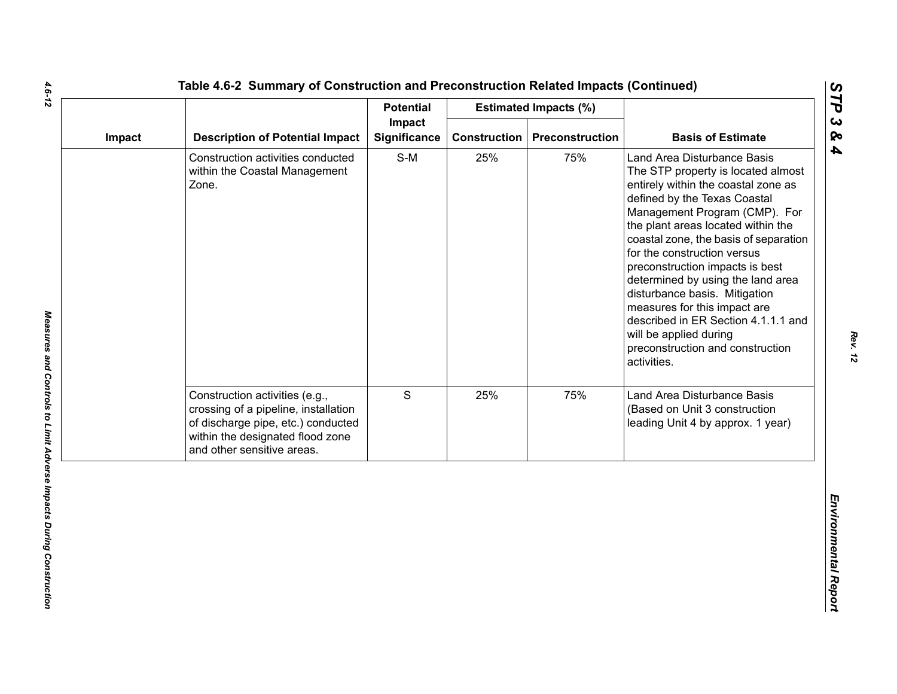|        |                                                                                                                                                                                | <b>Potential</b>       |     | <b>Estimated Impacts (%)</b>          |                                                                                                                                                                                                                                                                                                                                                                                                                                                                                                                                                      |
|--------|--------------------------------------------------------------------------------------------------------------------------------------------------------------------------------|------------------------|-----|---------------------------------------|------------------------------------------------------------------------------------------------------------------------------------------------------------------------------------------------------------------------------------------------------------------------------------------------------------------------------------------------------------------------------------------------------------------------------------------------------------------------------------------------------------------------------------------------------|
| Impact | <b>Description of Potential Impact</b>                                                                                                                                         | Impact<br>Significance |     | <b>Construction   Preconstruction</b> | <b>Basis of Estimate</b>                                                                                                                                                                                                                                                                                                                                                                                                                                                                                                                             |
|        | Construction activities conducted<br>within the Coastal Management<br>Zone.                                                                                                    | $S-M$                  | 25% | 75%                                   | Land Area Disturbance Basis<br>The STP property is located almost<br>entirely within the coastal zone as<br>defined by the Texas Coastal<br>Management Program (CMP). For<br>the plant areas located within the<br>coastal zone, the basis of separation<br>for the construction versus<br>preconstruction impacts is best<br>determined by using the land area<br>disturbance basis. Mitigation<br>measures for this impact are<br>described in ER Section 4.1.1.1 and<br>will be applied during<br>preconstruction and construction<br>activities. |
|        | Construction activities (e.g.,<br>crossing of a pipeline, installation<br>of discharge pipe, etc.) conducted<br>within the designated flood zone<br>and other sensitive areas. | S                      | 25% | 75%                                   | Land Area Disturbance Basis<br>(Based on Unit 3 construction<br>leading Unit 4 by approx. 1 year)                                                                                                                                                                                                                                                                                                                                                                                                                                                    |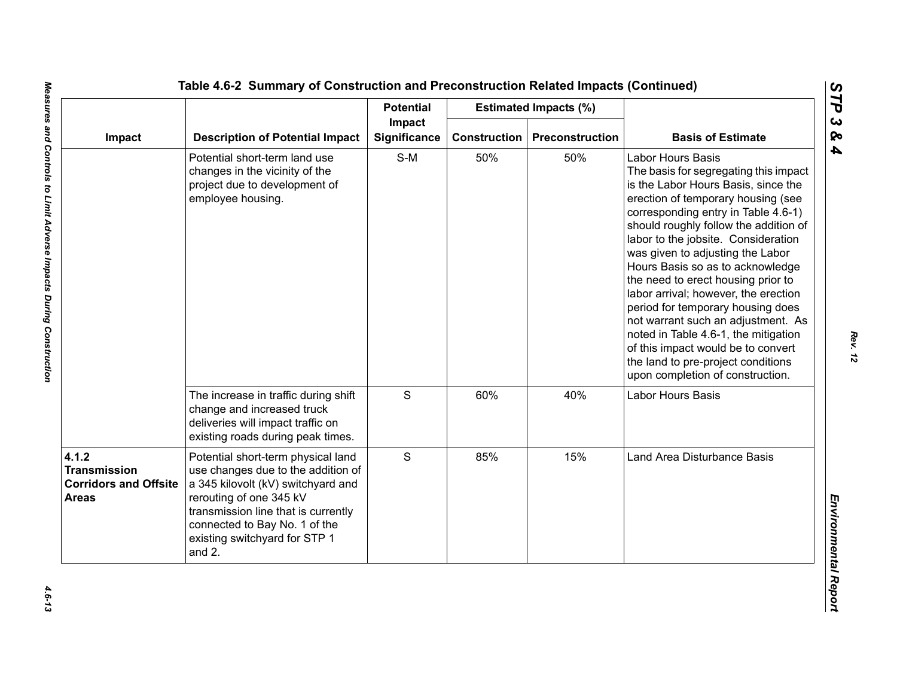|                                                                              |                                                                                                                                                                                                                                                              | <b>Potential</b> |                               | <b>Estimated Impacts (%)</b> |                                                                                                                                                                                                                                                                                                                                                                                                                                                                                                                                                                                                                                                                |                          |
|------------------------------------------------------------------------------|--------------------------------------------------------------------------------------------------------------------------------------------------------------------------------------------------------------------------------------------------------------|------------------|-------------------------------|------------------------------|----------------------------------------------------------------------------------------------------------------------------------------------------------------------------------------------------------------------------------------------------------------------------------------------------------------------------------------------------------------------------------------------------------------------------------------------------------------------------------------------------------------------------------------------------------------------------------------------------------------------------------------------------------------|--------------------------|
| Impact                                                                       | <b>Description of Potential Impact</b>                                                                                                                                                                                                                       |                  | Impact<br><b>Significance</b> | <b>Construction</b>          | Preconstruction                                                                                                                                                                                                                                                                                                                                                                                                                                                                                                                                                                                                                                                | <b>Basis of Estimate</b> |
|                                                                              | Potential short-term land use<br>changes in the vicinity of the<br>project due to development of<br>employee housing.                                                                                                                                        | $S-M$            | 50%                           | 50%                          | <b>Labor Hours Basis</b><br>The basis for segregating this impact<br>is the Labor Hours Basis, since the<br>erection of temporary housing (see<br>corresponding entry in Table 4.6-1)<br>should roughly follow the addition of<br>labor to the jobsite. Consideration<br>was given to adjusting the Labor<br>Hours Basis so as to acknowledge<br>the need to erect housing prior to<br>labor arrival; however, the erection<br>period for temporary housing does<br>not warrant such an adjustment. As<br>noted in Table 4.6-1, the mitigation<br>of this impact would be to convert<br>the land to pre-project conditions<br>upon completion of construction. |                          |
|                                                                              | The increase in traffic during shift<br>change and increased truck<br>deliveries will impact traffic on<br>existing roads during peak times.                                                                                                                 | ${\mathsf S}$    | 60%                           | 40%                          | Labor Hours Basis                                                                                                                                                                                                                                                                                                                                                                                                                                                                                                                                                                                                                                              |                          |
| 4.1.2<br><b>Transmission</b><br><b>Corridors and Offsite</b><br><b>Areas</b> | Potential short-term physical land<br>use changes due to the addition of<br>a 345 kilovolt (kV) switchyard and<br>rerouting of one 345 kV<br>transmission line that is currently<br>connected to Bay No. 1 of the<br>existing switchyard for STP 1<br>and 2. | S                | 85%                           | 15%                          | Land Area Disturbance Basis                                                                                                                                                                                                                                                                                                                                                                                                                                                                                                                                                                                                                                    |                          |

*STP 3 & 4*

 $4.6 - 13$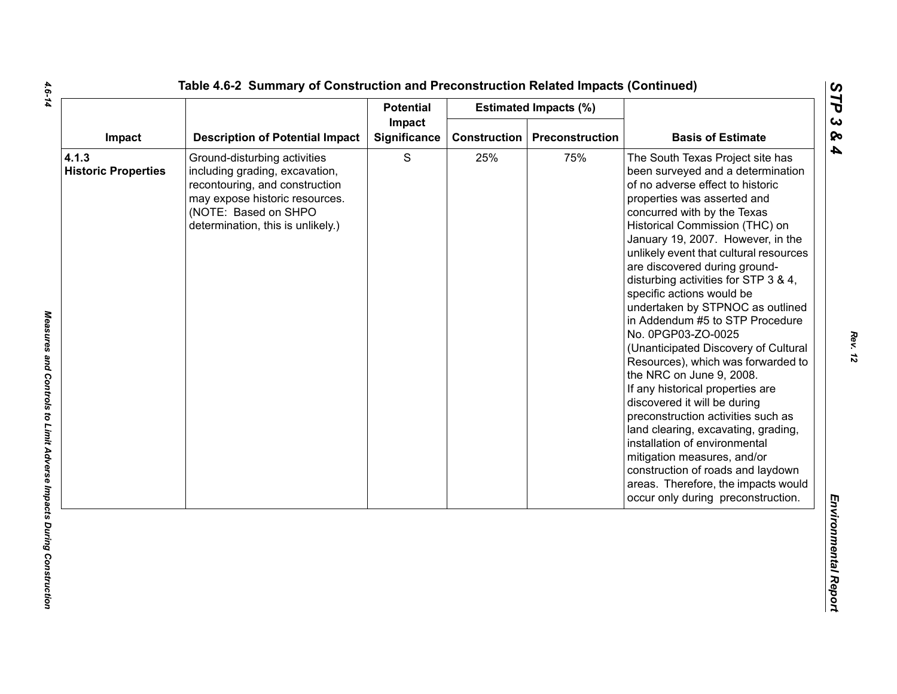|                                     |                                                                                                                                                                                                 | <b>Potential</b>       |              | <b>Estimated Impacts (%)</b> |                                                                                                                                                                                                                                                                                                                                                                                                                                                                                                                                                                                                                                                                                                                                                                                                                                                                                                                                          |
|-------------------------------------|-------------------------------------------------------------------------------------------------------------------------------------------------------------------------------------------------|------------------------|--------------|------------------------------|------------------------------------------------------------------------------------------------------------------------------------------------------------------------------------------------------------------------------------------------------------------------------------------------------------------------------------------------------------------------------------------------------------------------------------------------------------------------------------------------------------------------------------------------------------------------------------------------------------------------------------------------------------------------------------------------------------------------------------------------------------------------------------------------------------------------------------------------------------------------------------------------------------------------------------------|
| Impact                              | <b>Description of Potential Impact</b>                                                                                                                                                          | Impact<br>Significance | Construction | <b>Preconstruction</b>       | <b>Basis of Estimate</b>                                                                                                                                                                                                                                                                                                                                                                                                                                                                                                                                                                                                                                                                                                                                                                                                                                                                                                                 |
| 4.1.3<br><b>Historic Properties</b> | Ground-disturbing activities<br>including grading, excavation,<br>recontouring, and construction<br>may expose historic resources.<br>(NOTE: Based on SHPO<br>determination, this is unlikely.) | $\mathbf S$            | 25%          | 75%                          | The South Texas Project site has<br>been surveyed and a determination<br>of no adverse effect to historic<br>properties was asserted and<br>concurred with by the Texas<br>Historical Commission (THC) on<br>January 19, 2007. However, in the<br>unlikely event that cultural resources<br>are discovered during ground-<br>disturbing activities for STP 3 & 4,<br>specific actions would be<br>undertaken by STPNOC as outlined<br>in Addendum #5 to STP Procedure<br>No. 0PGP03-ZO-0025<br>(Unanticipated Discovery of Cultural<br>Resources), which was forwarded to<br>the NRC on June 9, 2008.<br>If any historical properties are<br>discovered it will be during<br>preconstruction activities such as<br>land clearing, excavating, grading,<br>installation of environmental<br>mitigation measures, and/or<br>construction of roads and laydown<br>areas. Therefore, the impacts would<br>occur only during preconstruction. |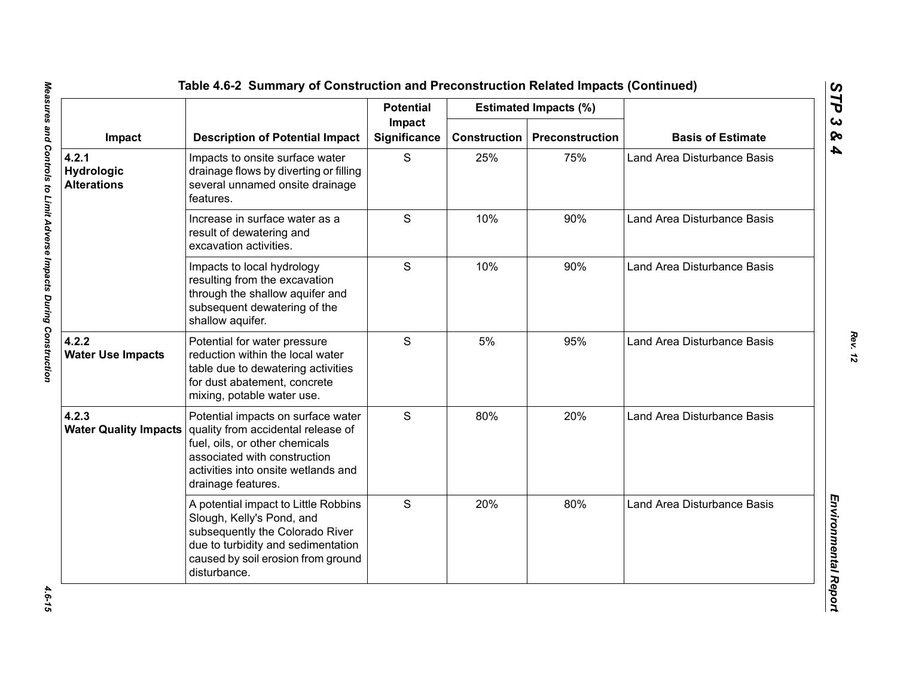|                                           | <b>Description of Potential Impact</b>                                                                                                                                                                  | <b>Potential</b>       |                     | <b>Estimated Impacts (%)</b> |                                    |
|-------------------------------------------|---------------------------------------------------------------------------------------------------------------------------------------------------------------------------------------------------------|------------------------|---------------------|------------------------------|------------------------------------|
| Impact                                    |                                                                                                                                                                                                         | Impact<br>Significance | <b>Construction</b> | Preconstruction              | <b>Basis of Estimate</b>           |
| 4.2.1<br>Hydrologic<br><b>Alterations</b> | Impacts to onsite surface water<br>drainage flows by diverting or filling<br>several unnamed onsite drainage<br>features.                                                                               | S                      | 25%                 | 75%                          | Land Area Disturbance Basis        |
|                                           | Increase in surface water as a<br>result of dewatering and<br>excavation activities.                                                                                                                    | S                      | 10%                 | 90%                          | <b>Land Area Disturbance Basis</b> |
|                                           | Impacts to local hydrology<br>resulting from the excavation<br>through the shallow aquifer and<br>subsequent dewatering of the<br>shallow aquifer.                                                      | S                      | 10%                 | 90%                          | <b>Land Area Disturbance Basis</b> |
| 4.2.2<br><b>Water Use Impacts</b>         | Potential for water pressure<br>reduction within the local water<br>table due to dewatering activities<br>for dust abatement, concrete<br>mixing, potable water use.                                    | S                      | 5%                  | 95%                          | <b>Land Area Disturbance Basis</b> |
| 4.2.3<br><b>Water Quality Impacts</b>     | Potential impacts on surface water<br>quality from accidental release of<br>fuel, oils, or other chemicals<br>associated with construction<br>activities into onsite wetlands and<br>drainage features. | S                      | 80%                 | 20%                          | Land Area Disturbance Basis        |
|                                           | A potential impact to Little Robbins<br>Slough, Kelly's Pond, and<br>subsequently the Colorado River<br>due to turbidity and sedimentation<br>caused by soil erosion from ground<br>disturbance.        | S                      | 20%                 | 80%                          | <b>Land Area Disturbance Basis</b> |

4.6-15

*STP 3 & 4*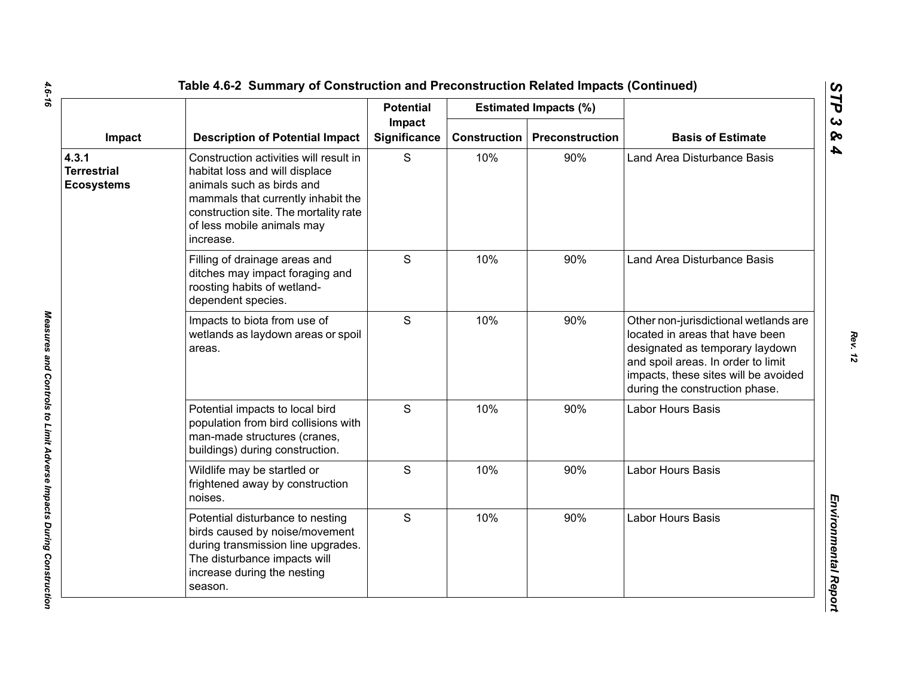|                                                  | <b>Description of Potential Impact</b>                                                                                                                                                                                          | <b>Potential</b>       |                     | <b>Estimated Impacts (%)</b> |                                                                                                                                                                                                                             |
|--------------------------------------------------|---------------------------------------------------------------------------------------------------------------------------------------------------------------------------------------------------------------------------------|------------------------|---------------------|------------------------------|-----------------------------------------------------------------------------------------------------------------------------------------------------------------------------------------------------------------------------|
| Impact                                           |                                                                                                                                                                                                                                 | Impact<br>Significance | <b>Construction</b> | <b>Preconstruction</b>       | <b>Basis of Estimate</b>                                                                                                                                                                                                    |
| 4.3.1<br><b>Terrestrial</b><br><b>Ecosystems</b> | Construction activities will result in<br>habitat loss and will displace<br>animals such as birds and<br>mammals that currently inhabit the<br>construction site. The mortality rate<br>of less mobile animals may<br>increase. | S                      | 10%                 | 90%                          | Land Area Disturbance Basis                                                                                                                                                                                                 |
|                                                  | Filling of drainage areas and<br>ditches may impact foraging and<br>roosting habits of wetland-<br>dependent species.                                                                                                           | S                      | 10%                 | 90%                          | Land Area Disturbance Basis                                                                                                                                                                                                 |
|                                                  | Impacts to biota from use of<br>wetlands as laydown areas or spoil<br>areas.                                                                                                                                                    | S                      | 10%                 | 90%                          | Other non-jurisdictional wetlands are<br>located in areas that have been<br>designated as temporary laydown<br>and spoil areas. In order to limit<br>impacts, these sites will be avoided<br>during the construction phase. |
|                                                  | Potential impacts to local bird<br>population from bird collisions with<br>man-made structures (cranes,<br>buildings) during construction.                                                                                      | S                      | 10%                 | 90%                          | Labor Hours Basis                                                                                                                                                                                                           |
|                                                  | Wildlife may be startled or<br>frightened away by construction<br>noises.                                                                                                                                                       | S                      | 10%                 | 90%                          | Labor Hours Basis                                                                                                                                                                                                           |
|                                                  | Potential disturbance to nesting<br>birds caused by noise/movement<br>during transmission line upgrades.<br>The disturbance impacts will<br>increase during the nesting<br>season.                                              | S                      | 10%                 | 90%                          | Labor Hours Basis                                                                                                                                                                                                           |

Measures and Controls to Limit Adverse Impacts During Construction

 $\mathbf{r}$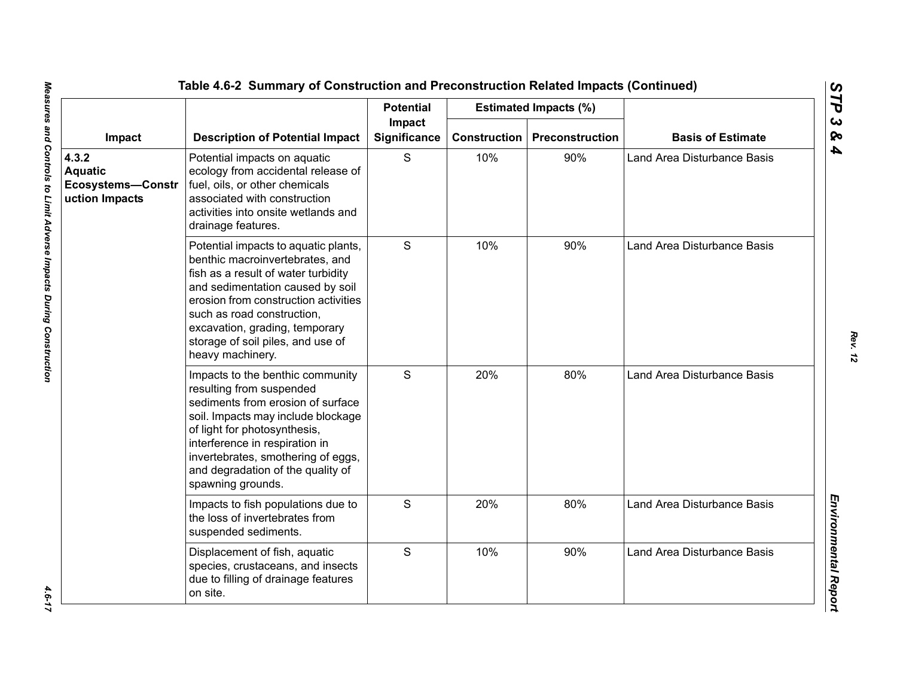|                                                                | <b>Description of Potential Impact</b>                                                                                                                                                                                                                                                                              | <b>Potential</b> |                               | <b>Estimated Impacts (%)</b> |                             |
|----------------------------------------------------------------|---------------------------------------------------------------------------------------------------------------------------------------------------------------------------------------------------------------------------------------------------------------------------------------------------------------------|------------------|-------------------------------|------------------------------|-----------------------------|
| Impact                                                         |                                                                                                                                                                                                                                                                                                                     |                  | Impact<br><b>Significance</b> | <b>Construction</b>          | Preconstruction             |
| 4.3.2<br><b>Aquatic</b><br>Ecosystems-Constr<br>uction Impacts | Potential impacts on aquatic<br>ecology from accidental release of<br>fuel, oils, or other chemicals<br>associated with construction<br>activities into onsite wetlands and<br>drainage features.                                                                                                                   | S                | 10%                           | 90%                          | Land Area Disturbance Basis |
|                                                                | Potential impacts to aquatic plants,<br>benthic macroinvertebrates, and<br>fish as a result of water turbidity<br>and sedimentation caused by soil<br>erosion from construction activities<br>such as road construction,<br>excavation, grading, temporary<br>storage of soil piles, and use of<br>heavy machinery. | S                | 10%                           | 90%                          | Land Area Disturbance Basis |
|                                                                | Impacts to the benthic community<br>resulting from suspended<br>sediments from erosion of surface<br>soil. Impacts may include blockage<br>of light for photosynthesis,<br>interference in respiration in<br>invertebrates, smothering of eggs,<br>and degradation of the quality of<br>spawning grounds.           | S                | 20%                           | 80%                          | Land Area Disturbance Basis |
|                                                                | Impacts to fish populations due to<br>the loss of invertebrates from<br>suspended sediments.                                                                                                                                                                                                                        | S                | 20%                           | 80%                          | Land Area Disturbance Basis |
|                                                                | Displacement of fish, aquatic<br>species, crustaceans, and insects<br>due to filling of drainage features<br>on site.                                                                                                                                                                                               | S                | 10%                           | 90%                          | Land Area Disturbance Basis |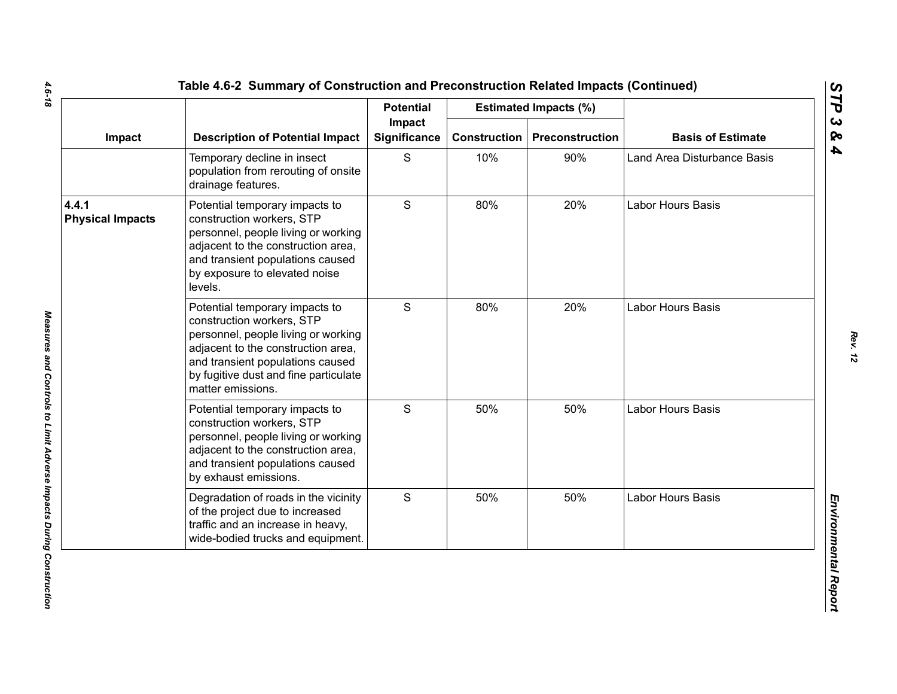|                                  | <b>Description of Potential Impact</b>                                                                                                                                                                                                     | <b>Potential</b>       |                     | <b>Estimated Impacts (%)</b> |                             |
|----------------------------------|--------------------------------------------------------------------------------------------------------------------------------------------------------------------------------------------------------------------------------------------|------------------------|---------------------|------------------------------|-----------------------------|
| Impact                           |                                                                                                                                                                                                                                            | Impact<br>Significance | <b>Construction</b> | Preconstruction              | <b>Basis of Estimate</b>    |
|                                  | Temporary decline in insect<br>population from rerouting of onsite<br>drainage features.                                                                                                                                                   | S                      | 10%                 | 90%                          | Land Area Disturbance Basis |
| 4.4.1<br><b>Physical Impacts</b> | Potential temporary impacts to<br>construction workers, STP<br>personnel, people living or working<br>adjacent to the construction area,<br>and transient populations caused<br>by exposure to elevated noise<br>levels.                   | $\mathsf S$            | 80%                 | 20%                          | Labor Hours Basis           |
|                                  | Potential temporary impacts to<br>construction workers, STP<br>personnel, people living or working<br>adjacent to the construction area,<br>and transient populations caused<br>by fugitive dust and fine particulate<br>matter emissions. | S                      | 80%                 | 20%                          | Labor Hours Basis           |
|                                  | Potential temporary impacts to<br>construction workers, STP<br>personnel, people living or working<br>adjacent to the construction area,<br>and transient populations caused<br>by exhaust emissions.                                      | $\mathsf{S}$           | 50%                 | 50%                          | Labor Hours Basis           |
|                                  | Degradation of roads in the vicinity<br>of the project due to increased<br>traffic and an increase in heavy,<br>wide-bodied trucks and equipment.                                                                                          | S                      | 50%                 | 50%                          | Labor Hours Basis           |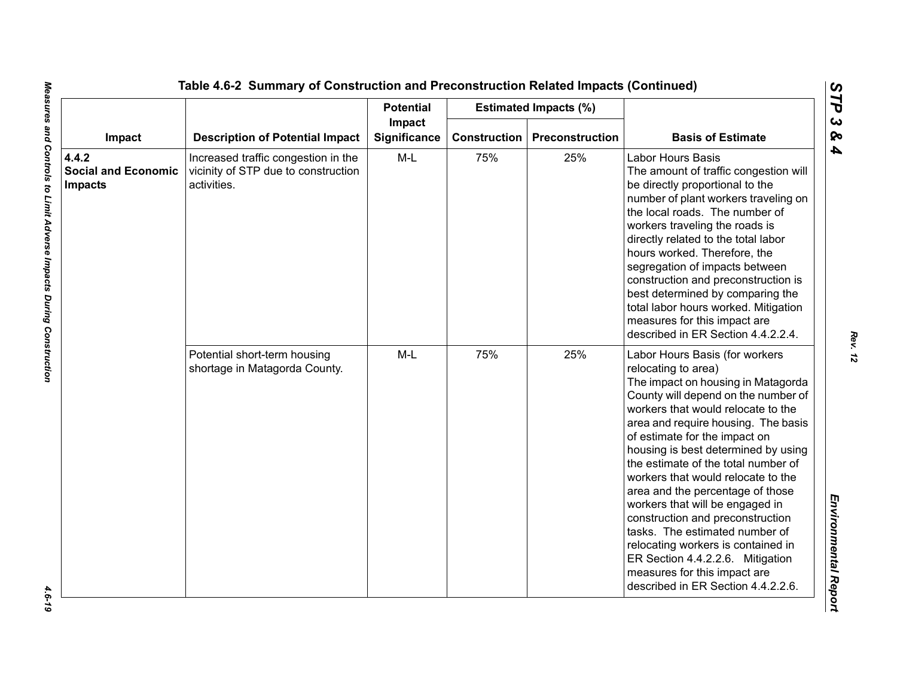|                                              |                                                                                           | <b>Potential</b> |                        | <b>Estimated Impacts (%)</b> |                                                                                                                                                                                                                                                                                                                                                                                                                                                                                                                                                                                                                                                                   |                          |
|----------------------------------------------|-------------------------------------------------------------------------------------------|------------------|------------------------|------------------------------|-------------------------------------------------------------------------------------------------------------------------------------------------------------------------------------------------------------------------------------------------------------------------------------------------------------------------------------------------------------------------------------------------------------------------------------------------------------------------------------------------------------------------------------------------------------------------------------------------------------------------------------------------------------------|--------------------------|
| Impact<br>4.4.2                              | <b>Description of Potential Impact</b>                                                    |                  | Impact<br>Significance | <b>Construction</b>          | Preconstruction                                                                                                                                                                                                                                                                                                                                                                                                                                                                                                                                                                                                                                                   | <b>Basis of Estimate</b> |
| <b>Social and Economic</b><br><b>Impacts</b> | Increased traffic congestion in the<br>vicinity of STP due to construction<br>activities. | $M-L$            | 75%                    | 25%                          | Labor Hours Basis<br>The amount of traffic congestion will<br>be directly proportional to the<br>number of plant workers traveling on<br>the local roads. The number of<br>workers traveling the roads is<br>directly related to the total labor<br>hours worked. Therefore, the<br>segregation of impacts between<br>construction and preconstruction is<br>best determined by comparing the<br>total labor hours worked. Mitigation<br>measures for this impact are<br>described in ER Section 4.4.2.2.4.                                                                                                                                                       |                          |
|                                              | Potential short-term housing<br>shortage in Matagorda County.                             | $M-L$            | 75%                    | 25%                          | Labor Hours Basis (for workers<br>relocating to area)<br>The impact on housing in Matagorda<br>County will depend on the number of<br>workers that would relocate to the<br>area and require housing. The basis<br>of estimate for the impact on<br>housing is best determined by using<br>the estimate of the total number of<br>workers that would relocate to the<br>area and the percentage of those<br>workers that will be engaged in<br>construction and preconstruction<br>tasks. The estimated number of<br>relocating workers is contained in<br>ER Section 4.4.2.2.6. Mitigation<br>measures for this impact are<br>described in ER Section 4.4.2.2.6. |                          |

 $-4.6 - 19$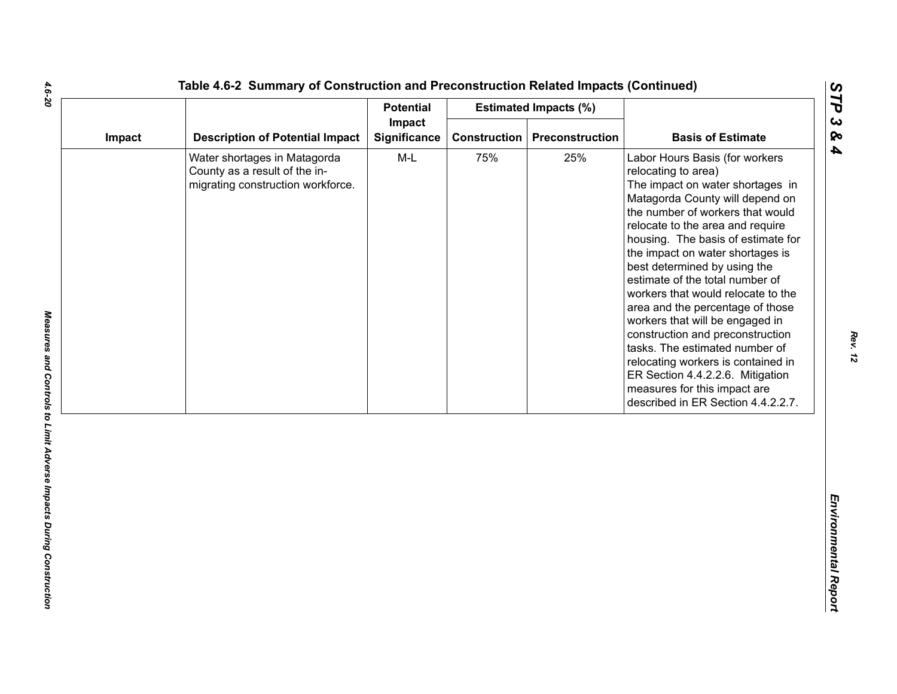| Impact |                                                                                                    | <b>Potential</b>       |                     | <b>Estimated Impacts (%)</b> |                                                                                                                                                                                                                                                                                                                                                                                                                                                                                                                                                                                                                                                                                      |
|--------|----------------------------------------------------------------------------------------------------|------------------------|---------------------|------------------------------|--------------------------------------------------------------------------------------------------------------------------------------------------------------------------------------------------------------------------------------------------------------------------------------------------------------------------------------------------------------------------------------------------------------------------------------------------------------------------------------------------------------------------------------------------------------------------------------------------------------------------------------------------------------------------------------|
|        | <b>Description of Potential Impact</b>                                                             | Impact<br>Significance | <b>Construction</b> | Preconstruction              | <b>Basis of Estimate</b>                                                                                                                                                                                                                                                                                                                                                                                                                                                                                                                                                                                                                                                             |
|        | Water shortages in Matagorda<br>County as a result of the in-<br>migrating construction workforce. | $M-L$                  | 75%                 | 25%                          | Labor Hours Basis (for workers<br>relocating to area)<br>The impact on water shortages in<br>Matagorda County will depend on<br>the number of workers that would<br>relocate to the area and require<br>housing. The basis of estimate for<br>the impact on water shortages is<br>best determined by using the<br>estimate of the total number of<br>workers that would relocate to the<br>area and the percentage of those<br>workers that will be engaged in<br>construction and preconstruction<br>tasks. The estimated number of<br>relocating workers is contained in<br>ER Section 4.4.2.2.6. Mitigation<br>measures for this impact are<br>described in ER Section 4.4.2.2.7. |

*STP 3 & 4*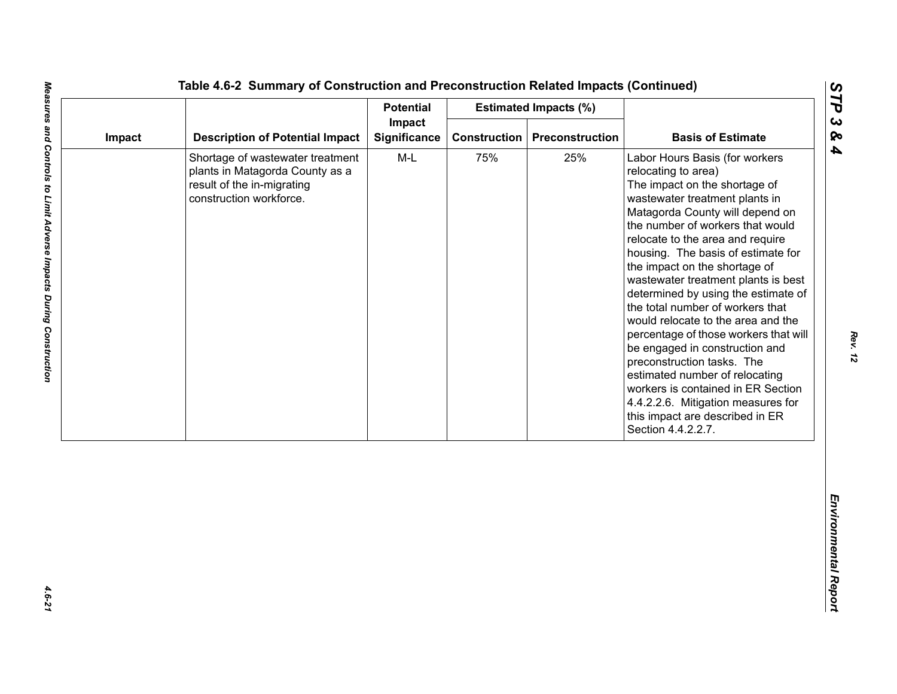| Impact<br><b>Description of Potential Impact</b><br>Significance<br><b>Construction</b><br>Preconstruction<br>Impact<br>$M-L$<br>75%<br>25%<br>Shortage of wastewater treatment<br>plants in Matagorda County as a<br>result of the in-migrating<br>construction workforce. | <b>Basis of Estimate</b><br>Labor Hours Basis (for workers<br>relocating to area)<br>The impact on the shortage of<br>wastewater treatment plants in<br>Matagorda County will depend on<br>the number of workers that would<br>relocate to the area and require                                                                                                                                                                                                                                             |
|-----------------------------------------------------------------------------------------------------------------------------------------------------------------------------------------------------------------------------------------------------------------------------|-------------------------------------------------------------------------------------------------------------------------------------------------------------------------------------------------------------------------------------------------------------------------------------------------------------------------------------------------------------------------------------------------------------------------------------------------------------------------------------------------------------|
|                                                                                                                                                                                                                                                                             |                                                                                                                                                                                                                                                                                                                                                                                                                                                                                                             |
|                                                                                                                                                                                                                                                                             | housing. The basis of estimate for<br>the impact on the shortage of<br>wastewater treatment plants is best<br>determined by using the estimate of<br>the total number of workers that<br>would relocate to the area and the<br>percentage of those workers that will<br>be engaged in construction and<br>preconstruction tasks. The<br>estimated number of relocating<br>workers is contained in ER Section<br>4.4.2.2.6. Mitigation measures for<br>this impact are described in ER<br>Section 4.4.2.2.7. |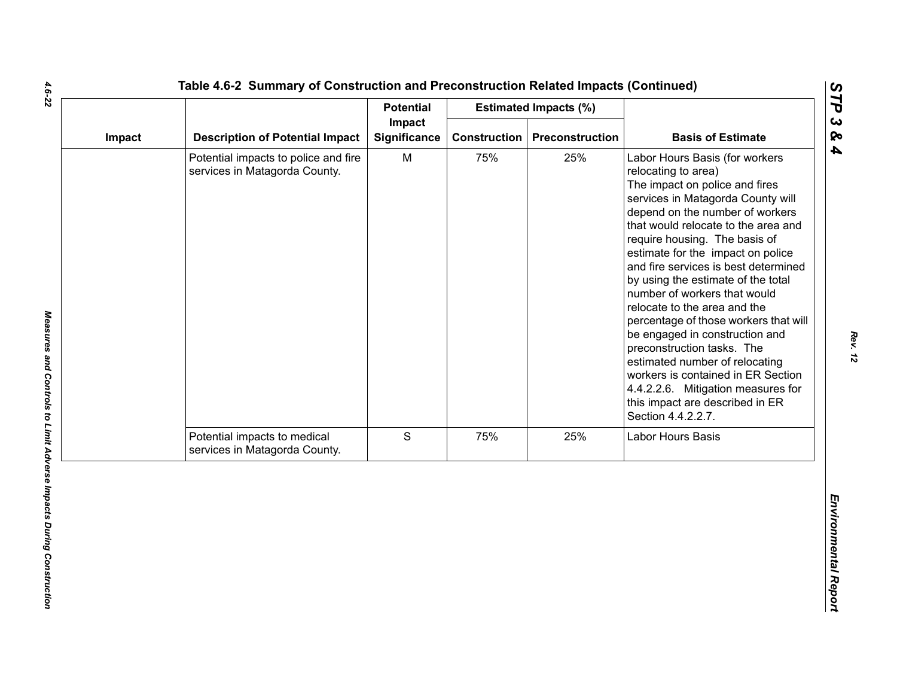|        |                                                                       | <b>Potential</b>              |              | <b>Estimated Impacts (%)</b> |                                                                                                                                                                                                                                                                                                                                                                                                                                                                                                                                                                                                                                                                                                            |
|--------|-----------------------------------------------------------------------|-------------------------------|--------------|------------------------------|------------------------------------------------------------------------------------------------------------------------------------------------------------------------------------------------------------------------------------------------------------------------------------------------------------------------------------------------------------------------------------------------------------------------------------------------------------------------------------------------------------------------------------------------------------------------------------------------------------------------------------------------------------------------------------------------------------|
| Impact | <b>Description of Potential Impact</b>                                | Impact<br><b>Significance</b> | Construction | Preconstruction              | <b>Basis of Estimate</b>                                                                                                                                                                                                                                                                                                                                                                                                                                                                                                                                                                                                                                                                                   |
|        | Potential impacts to police and fire<br>services in Matagorda County. | M                             | 75%          | 25%                          | Labor Hours Basis (for workers<br>relocating to area)<br>The impact on police and fires<br>services in Matagorda County will<br>depend on the number of workers<br>that would relocate to the area and<br>require housing. The basis of<br>estimate for the impact on police<br>and fire services is best determined<br>by using the estimate of the total<br>number of workers that would<br>relocate to the area and the<br>percentage of those workers that will<br>be engaged in construction and<br>preconstruction tasks. The<br>estimated number of relocating<br>workers is contained in ER Section<br>4.4.2.2.6. Mitigation measures for<br>this impact are described in ER<br>Section 4.4.2.2.7. |
|        | Potential impacts to medical<br>services in Matagorda County.         | $\mathbf S$                   | 75%          | 25%                          | <b>Labor Hours Basis</b>                                                                                                                                                                                                                                                                                                                                                                                                                                                                                                                                                                                                                                                                                   |
|        |                                                                       |                               |              |                              |                                                                                                                                                                                                                                                                                                                                                                                                                                                                                                                                                                                                                                                                                                            |

 $\mathbf{L}$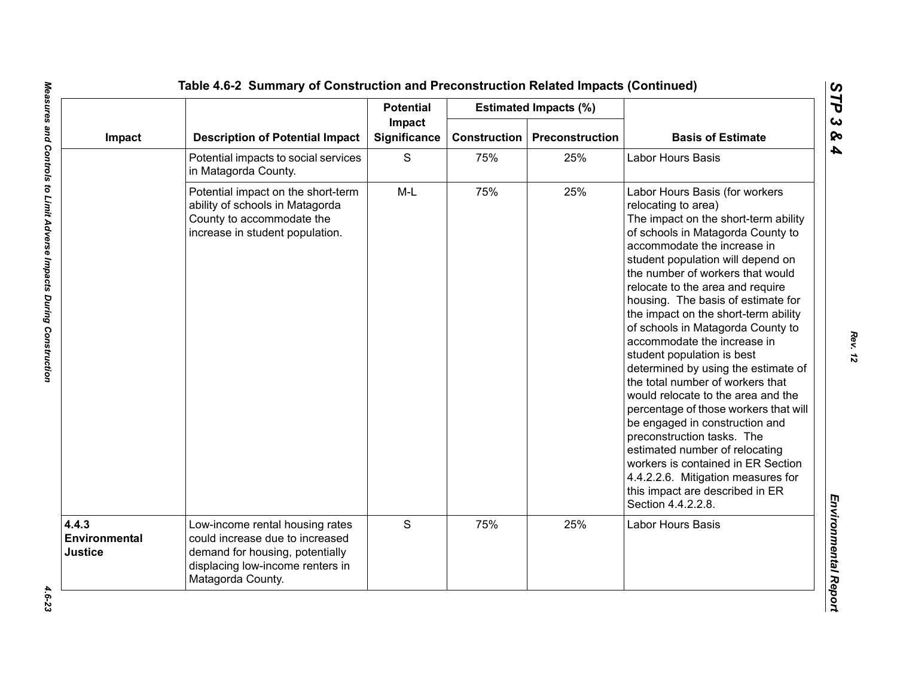|                                   | <b>Description of Potential Impact</b>                                                                                                                         | <b>Potential</b>       |                     | <b>Estimated Impacts (%)</b> | <b>Basis of Estimate</b>                                                                                                                                                                                                                                                                                                                                                                                                                                                                                                                                                                                                                                                                                                                                                                                                                                        |
|-----------------------------------|----------------------------------------------------------------------------------------------------------------------------------------------------------------|------------------------|---------------------|------------------------------|-----------------------------------------------------------------------------------------------------------------------------------------------------------------------------------------------------------------------------------------------------------------------------------------------------------------------------------------------------------------------------------------------------------------------------------------------------------------------------------------------------------------------------------------------------------------------------------------------------------------------------------------------------------------------------------------------------------------------------------------------------------------------------------------------------------------------------------------------------------------|
| Impact                            |                                                                                                                                                                | Impact<br>Significance | <b>Construction</b> | <b>Preconstruction</b>       |                                                                                                                                                                                                                                                                                                                                                                                                                                                                                                                                                                                                                                                                                                                                                                                                                                                                 |
|                                   | Potential impacts to social services<br>in Matagorda County.                                                                                                   | S                      | 75%                 | 25%                          | Labor Hours Basis                                                                                                                                                                                                                                                                                                                                                                                                                                                                                                                                                                                                                                                                                                                                                                                                                                               |
|                                   | Potential impact on the short-term<br>ability of schools in Matagorda<br>County to accommodate the<br>increase in student population.                          | $M-L$                  | 75%                 | 25%                          | Labor Hours Basis (for workers<br>relocating to area)<br>The impact on the short-term ability<br>of schools in Matagorda County to<br>accommodate the increase in<br>student population will depend on<br>the number of workers that would<br>relocate to the area and require<br>housing. The basis of estimate for<br>the impact on the short-term ability<br>of schools in Matagorda County to<br>accommodate the increase in<br>student population is best<br>determined by using the estimate of<br>the total number of workers that<br>would relocate to the area and the<br>percentage of those workers that will<br>be engaged in construction and<br>preconstruction tasks. The<br>estimated number of relocating<br>workers is contained in ER Section<br>4.4.2.2.6. Mitigation measures for<br>this impact are described in ER<br>Section 4.4.2.2.8. |
| 4.4.3<br>Environmental<br>Justice | Low-income rental housing rates<br>could increase due to increased<br>demand for housing, potentially<br>displacing low-income renters in<br>Matagorda County. | S                      | 75%                 | 25%                          | Labor Hours Basis                                                                                                                                                                                                                                                                                                                                                                                                                                                                                                                                                                                                                                                                                                                                                                                                                                               |

*STP 3 & 4*

 $4.6 - 23$